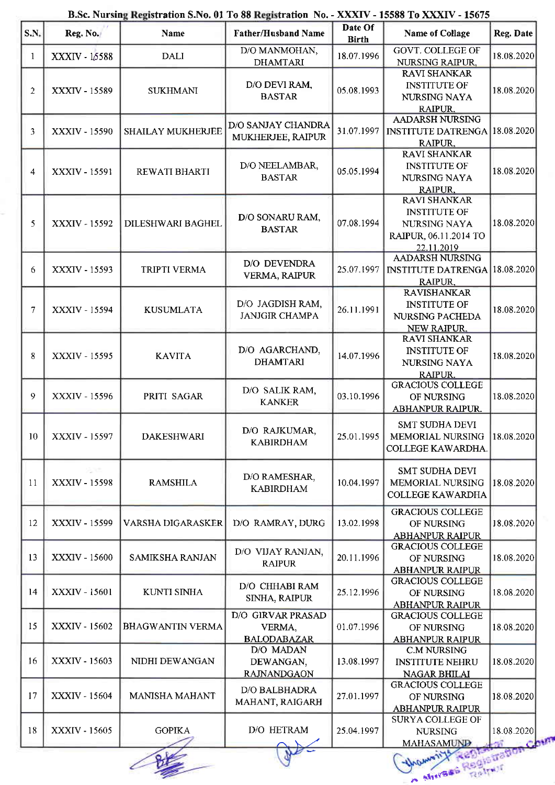| B.Sc. Nursing Registration S.No. 01 To 88 Registration No. - XXXIV - 15588 To XXXIV - 15675 |
|---------------------------------------------------------------------------------------------|
|---------------------------------------------------------------------------------------------|

| $\vert$ S.N.    | Reg. No.      | Name                     | <b>Father/Husband Name</b>                        | Date Of<br><b>Birth</b> | <b>Name of Collage</b>                                                                                 | Reg. Date            |
|-----------------|---------------|--------------------------|---------------------------------------------------|-------------------------|--------------------------------------------------------------------------------------------------------|----------------------|
| 1               | XXXIV - 15588 | <b>DALI</b>              | D/O MANMOHAN,                                     | 18.07.1996              | <b>GOVT. COLLEGE OF</b>                                                                                | 18.08.2020           |
| 2               | XXXIV - 15589 | <b>SUKHMANI</b>          | <b>DHAMTARI</b><br>D/O DEVI RAM,<br><b>BASTAR</b> | 05.08.1993              | <b>NURSING RAIPUR,</b><br><b>RAVI SHANKAR</b><br><b>INSTITUTE OF</b><br><b>NURSING NAYA</b><br>RAIPUR. | 18.08.2020           |
| 3               | XXXIV - 15590 | <b>SHAILAY MUKHERJEE</b> | <b>D/O SANJAY CHANDRA</b><br>MUKHERJEE, RAIPUR    | 31.07.1997              | <b>AADARSH NURSING</b><br><b>INSTITUTE DATRENGA 18.08.2020</b><br>RAIPUR.                              |                      |
| 4               | XXXIV - 15591 | REWATI BHARTI            | D/O NEELAMBAR,<br><b>BASTAR</b>                   | 05.05.1994              | <b>RAVI SHANKAR</b><br><b>INSTITUTE OF</b><br>NURSING NAYA<br>RAIPUR.                                  | 18.08.2020           |
| 5               | XXXIV - 15592 | <b>DILESHWARI BAGHEL</b> | D/O SONARU RAM,<br><b>BASTAR</b>                  | 07.08.1994              | <b>RAVI SHANKAR</b><br><b>INSTITUTE OF</b><br>NURSING NAYA<br>RAIPUR, 06.11.2014 TO<br>22.11.2019      | 18.08.2020           |
| 6               | XXXIV - 15593 | TRIPTI VERMA             | D/O DEVENDRA<br><b>VERMA, RAIPUR</b>              | 25.07.1997              | <b>AADARSH NURSING</b><br><b>INSTITUTE DATRENGA 18.08.2020</b><br>RAIPUR,                              |                      |
| 7               | XXXIV - 15594 | <b>KUSUMLATA</b>         | D/O JAGDISH RAM,<br><b>JANJGIR CHAMPA</b>         | 26.11.1991              | <b>RAVISHANKAR</b><br><b>INSTITUTE OF</b><br>NURSING PACHEDA<br>NEW RAIPUR.                            | 18.08.2020           |
| 8               | XXXIV - 15595 | <b>KAVITA</b>            | D/O AGARCHAND,<br><b>DHAMTARI</b>                 | 14.07.1996              | <b>RAVI SHANKAR</b><br><b>INSTITUTE OF</b><br>NURSING NAYA<br><b>RAIPUR.</b>                           | 18.08.2020           |
| 9               | XXXIV - 15596 | PRITI SAGAR              | D/O SALIK RAM.<br><b>KANKER</b>                   | 03.10.1996              | <b>GRACIOUS COLLEGE</b><br>OF NURSING<br>ABHANPUR RAIPUR.                                              | 18.08.2020           |
| 10 <sub>1</sub> | XXXIV - 15597 | <b>DAKESHWARI</b>        | D/O RAJKUMAR,<br><b>KABIRDHAM</b>                 |                         | <b>SMT SUDHA DEVI</b><br>25.01.1995   MEMORIAL NURSING  <br>COLLEGE KAWARDHA.                          | 18.08.2020           |
| 11              | XXXIV - 15598 | <b>RAMSHILA</b>          | D/O RAMESHAR,<br><b>KABIRDHAM</b>                 | 10.04.1997              | <b>SMT SUDHA DEVI</b><br><b>MEMORIAL NURSING</b><br><b>COLLEGE KAWARDHA</b>                            | 18.08.2020           |
| 12              | XXXIV - 15599 | VARSHA DIGARASKER        | D/O RAMRAY, DURG                                  | 13.02.1998              | <b>GRACIOUS COLLEGE</b><br>OF NURSING<br><b>ABHANPUR RAIPUR</b>                                        | 18.08.2020           |
| 13              | XXXIV - 15600 | SAMIKSHA RANJAN          | D/O VIJAY RANJAN,<br><b>RAIPUR</b>                | 20.11.1996              | <b>GRACIOUS COLLEGE</b><br>OF NURSING<br><b>ABHANPUR RAIPUR</b>                                        | 18.08.2020           |
| 14              | XXXIV - 15601 | KUNTI SINHA              | D/O CHHABI RAM<br>SINHA, RAIPUR                   | 25.12.1996              | <b>GRACIOUS COLLEGE</b><br>OF NURSING<br><b>ABHANPUR RAIPUR</b>                                        | 18.08.2020           |
| 15              | XXXIV - 15602 | <b>BHAGWANTIN VERMA</b>  | D/O GIRVAR PRASAD<br>VERMA,<br><b>BALODABAZAR</b> | 01.07.1996              | <b>GRACIOUS COLLEGE</b><br>OF NURSING<br><b>ABHANPUR RAIPUR</b>                                        | 18.08.2020           |
| 16              | XXXIV - 15603 | NIDHI DEWANGAN           | D/O MADAN<br>DEWANGAN,<br><b>RAJNANDGAON</b>      | 13.08.1997              | <b>C.M NURSING</b><br><b>INSTITUTE NEHRU</b><br><b>NAGAR BHILAI</b>                                    | 18.08.2020           |
| 17              | XXXIV - 15604 | <b>MANISHA MAHANT</b>    | <b>D/O BALBHADRA</b><br>MAHANT, RAIGARH           | 27.01.1997              | <b>GRACIOUS COLLEGE</b><br>OF NURSING<br><b>ABHANPUR RAIPUR</b>                                        | 18.08.2020           |
| 18              | XXXIV - 15605 | <b>GOPIKA</b>            | D/O HETRAM                                        | 25.04.1997              | <b>SURYA COLLEGE OF</b><br><b>NURSING</b><br><b>MAHASAMUND</b>                                         | 18.08.2020<br>Charry |
|                 |               |                          |                                                   |                         | Mires Registration                                                                                     |                      |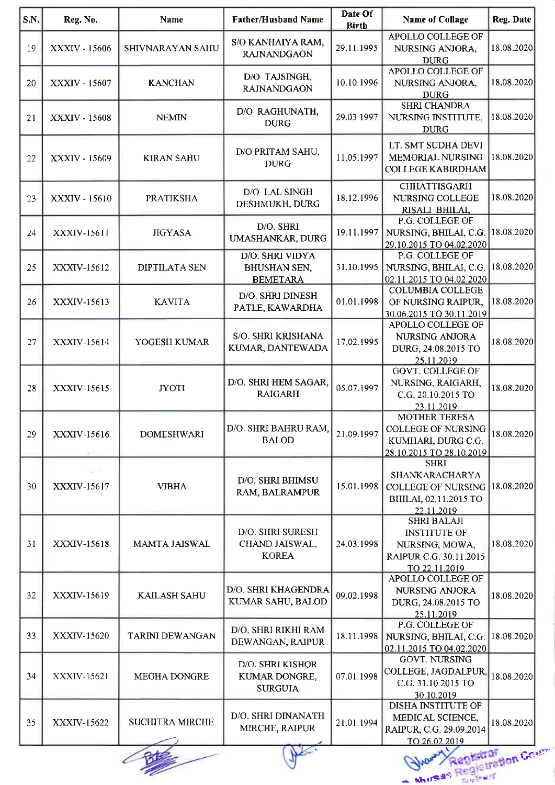| S.N. | Reg. No.                   | Name                   | <b>Father/Husband Name</b>                                | Date Of<br><b>Birth</b> | <b>Name of Collage</b>                                                                                          | Reg. Date  |
|------|----------------------------|------------------------|-----------------------------------------------------------|-------------------------|-----------------------------------------------------------------------------------------------------------------|------------|
| 19   | XXXIV - 15606              | SHIVNARAYAN SAHU       | S/O KANHAIYA RAM,<br><b>RAJNANDGAON</b>                   | 29.11.1995              | APOLLO COLLEGE OF<br>NURSING ANJORA,<br><b>DURG</b>                                                             | 18.08.2020 |
| 20   | XXXIV - 15607              | <b>KANCHAN</b>         | D/O TAJSINGH,<br><b>RAJNANDGAON</b>                       | 10 10 1996              | APOLLO COLLEGE OF<br>NURSING ANJORA,<br><b>DURG</b>                                                             | 18.08.2020 |
| 21   | XXXIV - 15608              | <b>NEMIN</b>           | D/O RAGHUNATH,<br><b>DURG</b>                             | 29.03.1997              | <b>SHRI CHANDRA</b><br>NURSING INSTITUTE,<br><b>DURG</b>                                                        | 18.08.2020 |
| 22   | XXXIV - 15609              | <b>KIRAN SAHU</b>      | D/O PRITAM SAHU,<br><b>DURG</b>                           | 11.05.1997              | LT. SMT SUDHA DEVI<br>MEMORIAL NURSING<br><b>COLLEGE KABIRDHAM</b>                                              | 18.08.2020 |
| 23   | XXXIV - 15610              | <b>PRATIKSHA</b>       | D/O LAL SINGH<br>DESHMUKH, DURG                           | 18.12.1996              | <b>CHHATTISGARH</b><br>NURSING COLLEGE<br>RISALI BHILAI,                                                        | 18.08.2020 |
| 24   | XXXIV-15611                | <b>JIGYASA</b>         | D/O. SHRI<br>UMASHANKAR, DURG                             | 19.11.1997              | P.G. COLLEGE OF<br>NURSING, BHILAI, C.G. 18.08.2020<br>29.10.2015 TO 04.02.2020                                 |            |
| 25   | <b>XXXIV-15612</b>         | <b>DIPTILATA SEN</b>   | D/O. SHRI VIDYA<br><b>BHUSHAN SEN,</b><br><b>BEMETARA</b> | 31.10.1995              | P.G. COLLEGE OF<br>NURSING, BHILAI, C.G.<br>02.11.2015 TO 04.02.2020                                            | 18.08.2020 |
| 26   | XXXIV-15613                | <b>KAVITA</b>          | D/O. SHRI DINESH<br>PATLE, KAWARDHA                       | 01.01.1998              | <b>COLUMBIA COLLEGE</b><br>OF NURSING RAIPUR,<br>30.06.2015 TO 30.11.2019                                       | 18.08.2020 |
| 27   | XXXIV-15614                | YOGESH KUMAR           | S/O. SHRI KRISHANA<br>KUMAR, DANTEWADA                    | 17.02.1995              | APOLLO COLLEGE OF<br><b>NURSING ANJORA</b><br>DURG, 24.08.2015 TO<br>25.11.2019                                 | 18.08.2020 |
| 28   | XXXIV-15615                | <b>JYOTI</b>           | D/O. SHRI HEM SAGAR,<br><b>RAIGARH</b>                    | 05.07.1997              | <b>GOVT. COLLEGE OF</b><br>NURSING, RAIGARH,<br>C.G. 20.10.2015 TO<br>23.11.2019                                | 18.08.2020 |
| 29   | XXXIV-15616                | <b>DOMESHWARI</b>      | D/O. SHRI BAHRU RAM,<br><b>BALOD</b>                      | 21.09.1997              | <b>MOTHER TERESA</b><br><b>COLLEGE OF NURSING</b><br>KUMHARI, DURG C.G.<br>28.10.2015 TO 28.10.2019             | 18.08.2020 |
| 30   | <b>SOFT</b><br>XXXIV-15617 | <b>VIBHA</b>           | D/O. SHRI BHIMSU<br>RAM, BALRAMPUR                        | 15.01.1998              | <b>SHRI</b><br>SHANKARACHARYA<br><b>COLLEGE OF NURSING</b><br>BHILAI, 02.11.2015 TO<br>22.11.2019               | 18.08.2020 |
| 31   | XXXIV-15618                | MAMTA JAISWAL          | D/O. SHRI SURESH<br>CHAND JAISWAL,<br><b>KOREA</b>        | 24.03.1998              | <b>SHRI BALAJI</b><br><b>INSTITUTE OF</b><br>NURSING, MOWA,<br>RAIPUR C.G. 30.11.2015<br>TO 22.11.2019          | 18.08.2020 |
| 32   | XXXIV-15619                | <b>KAILASH SAHU</b>    | D/O. SHRI KHAGENDRA<br>KUMAR SAHU, BALOD                  | 09.02.1998              | APOLLO COLLEGE OF<br>NURSING ANJORA<br>DURG, 24.08.2015 TO<br>25.11.2019                                        | 18.08.2020 |
| 33   | XXXIV-15620                | <b>TARINI DEWANGAN</b> | D/O. SHRI RIKHI RAM<br>DEWANGAN, RAIPUR                   | 18.11.1998              | P.G. COLLEGE OF<br>NURSING, BHILAI, C.G.<br>02.11.2015 TO 04.02.2020                                            | 18.08.2020 |
| 34   | XXXIV-15621                | MEGHA DONGRE           | D/O. SHRI KISHOR<br>KUMAR DONGRE,<br><b>SURGUJA</b>       | 07.01.1998              | <b>GOVT. NURSING</b><br>COLLEGE, JAGDALPUR,<br>C.G. 31.10.2015 TO<br>30.10.2019                                 | 18.08.2020 |
| 35   | XXXIV-15622                | <b>SUCHITRA MIRCHE</b> | D/O. SHRI DINANATH<br>MIRCHE, RAIPUR                      | 21 01 1994              | <b>DISHA INSTITUTE OF</b><br>MEDICAL SCIENCE,<br>RAIPUR, C.G. 29.09.2014<br>TO 26.02.2019<br>Registration Cours | 18.08.2020 |

 $-$  shuga $^{\circ}$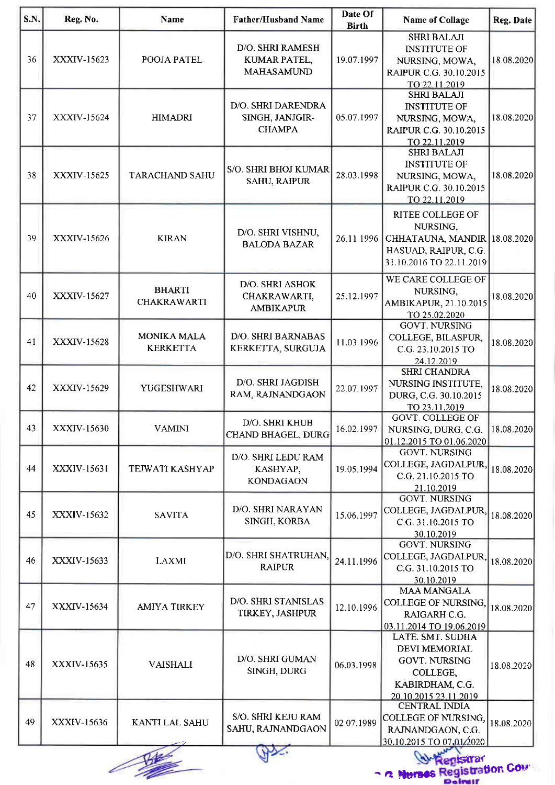| S.N. | Reg. No.           | <b>Name</b>                           | <b>Father/Husband Name</b>                             | Date Of<br><b>Birth</b> | <b>Name of Collage</b>                                                                                                   | Reg. Date  |
|------|--------------------|---------------------------------------|--------------------------------------------------------|-------------------------|--------------------------------------------------------------------------------------------------------------------------|------------|
| 36   | XXXIV-15623        | POOJA PATEL                           | D/O. SHRI RAMESH<br>KUMAR PATEL,<br><b>MAHASAMUND</b>  | 19.07.1997              | <b>SHRI BALAJI</b><br><b>INSTITUTE OF</b><br>NURSING, MOWA,<br>RAIPUR C.G. 30.10.2015<br>TO 22.11.2019                   | 18.08.2020 |
| 37   | XXXIV-15624        | <b>HIMADRI</b>                        | D/O. SHRI DARENDRA<br>SINGH, JANJGIR-<br><b>CHAMPA</b> | 05.07.1997              | <b>SHRI BALAJI</b><br><b>INSTITUTE OF</b><br>NURSING, MOWA,<br>RAIPUR C.G. 30.10.2015<br>TO 22.11.2019                   | 18.08.2020 |
| 38   | XXXIV-15625        | <b>TARACHAND SAHU</b>                 | S/O. SHRI BHOJ KUMAR<br><b>SAHU, RAIPUR</b>            | 28.03.1998              | <b>SHRI BALAJI</b><br><b>INSTITUTE OF</b><br>NURSING, MOWA,<br>RAIPUR C.G. 30.10.2015<br>TO 22.11.2019                   | 18.08.2020 |
| 39   | XXXIV-15626        | <b>KIRAN</b>                          | D/O. SHRI VISHNU,<br><b>BALODA BAZAR</b>               | 26.11.1996              | RITEE COLLEGE OF<br>NURSING,<br>CHHATAUNA, MANDIR 18.08.2020<br>HASUAD, RAIPUR, C.G.<br>31.10.2016 TO 22.11.2019         |            |
| 40   | <b>XXXIV-15627</b> | <b>BHARTI</b><br><b>CHAKRAWARTI</b>   | D/O. SHRI ASHOK<br>CHAKRAWARTI,<br><b>AMBIKAPUR</b>    | 25.12.1997              | WE CARE COLLEGE OF<br>NURSING,<br>AMBIKAPUR, 21.10.2015<br>TO 25.02.2020                                                 | 18.08.2020 |
| 41   | XXXIV-15628        | <b>MONIKA MALA</b><br><b>KERKETTA</b> | D/O. SHRI BARNABAS<br>KERKETTA, SURGUJA                | 11.03.1996              | <b>GOVT. NURSING</b><br>COLLEGE, BILASPUR,<br>C.G. 23.10.2015 TO<br>24.12.2019                                           | 18.08.2020 |
| 42   | XXXIV-15629        | YUGESHWARI                            | D/O. SHRI JAGDISH<br>RAM, RAJNANDGAON                  | 22.07.1997              | <b>SHRI CHANDRA</b><br>NURSING INSTITUTE,<br>DURG, C.G. 30.10.2015<br>TO 23.11.2019                                      | 18.08.2020 |
| 43   | XXXIV-15630        | <b>VAMINI</b>                         | D/O. SHRI KHUB<br>CHAND BHAGEL, DURG                   | 16.02.1997              | <b>GOVT. COLLEGE OF</b><br>NURSING, DURG, C.G.<br>01.12.2015 TO 01.06.2020                                               | 18.08.2020 |
| 44   | XXXIV-15631        | TEJWATI KASHYAP                       | D/O. SHRI LEDU RAM<br>KASHYAP,<br><b>KONDAGAON</b>     | 19.05.1994              | <b>GOVT. NURSING</b><br>COLLEGE, JAGDALPUR,<br>C.G. 21.10.2015 TO<br>21.10.2019                                          | 18.08.2020 |
| 45   | XXXIV-15632        | <b>SAVITA</b>                         | D/O. SHRI NARAYAN<br>SINGH, KORBA                      | 15.06.1997              | <b>GOVT. NURSING</b><br>COLLEGE, JAGDALPUR,<br>C.G. 31.10.2015 TO<br>30.10.2019                                          | 18.08.2020 |
| 46   | XXXIV-15633        | <b>LAXMI</b>                          | D/O. SHRI SHATRUHAN,<br><b>RAIPUR</b>                  | 24.11.1996              | <b>GOVT. NURSING</b><br>COLLEGE, JAGDALPUR,<br>C.G. 31.10.2015 TO<br>30.10.2019                                          | 18.08.2020 |
| 47   | <b>XXXIV-15634</b> | <b>AMIYA TIRKEY</b>                   | D/O. SHRI STANISLAS<br>TIRKEY, JASHPUR                 | 12.10.1996              | <b>MAA MANGALA</b><br>COLLEGE OF NURSING,<br>RAIGARH C.G.<br>03.11.2014 TO 19.06.2019                                    | 18.08.2020 |
| 48   | XXXIV-15635        | <b>VAISHALI</b>                       | D/O. SHRI GUMAN<br>SINGH, DURG                         | 06.03.1998              | LATE. SMT. SUDHA<br><b>DEVI MEMORIAL</b><br><b>GOVT. NURSING</b><br>COLLEGE,<br>KABIRDHAM, C.G.<br>20.10.2015 23.11.2019 | 18.08.2020 |
| 49   | XXXIV-15636        | KANTI LAL SAHU                        | S/O. SHRI KEJU RAM<br>SAHU, RAJNANDGAON                | 02.07.1989              | <b>CENTRAL INDIA</b><br>COLLEGE OF NURSING,<br>RAJNANDGAON, C.G.<br>30.10.2015 TO 07,01/2020                             | 18.08.2020 |
|      |                    |                                       |                                                        |                         | Registrar                                                                                                                |            |
|      |                    |                                       |                                                        |                         | 2 Nurses Registration Court<br>Dainstr                                                                                   |            |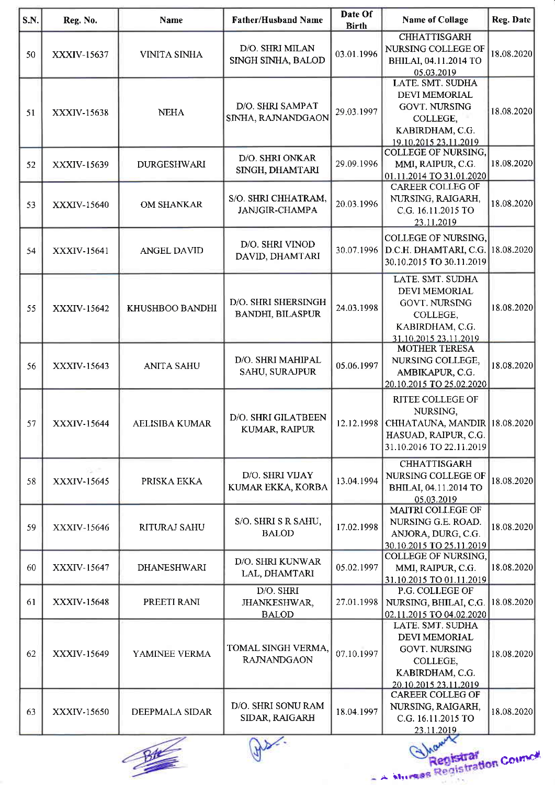| S.N. | Reg. No.           | <b>Name</b>           | <b>Father/Husband Name</b>                     | Date Of<br><b>Birth</b> | <b>Name of Collage</b>                                                                                                                   | Reg. Date  |
|------|--------------------|-----------------------|------------------------------------------------|-------------------------|------------------------------------------------------------------------------------------------------------------------------------------|------------|
| 50   | XXXIV-15637        | <b>VINITA SINHA</b>   | D/O. SHRI MILAN<br>SINGH SINHA, BALOD          | 03.01.1996              | <b>CHHATTISGARH</b><br>NURSING COLLEGE OF<br>BHILAI, 04.11.2014 TO<br>05.03.2019                                                         | 18.08.2020 |
| 51   | XXXIV-15638        | <b>NEHA</b>           | D/O. SHRI SAMPAT<br>SINHA, RAJNANDGAON         | 29.03.1997              | LATE. SMT. SUDHA<br><b>DEVI MEMORIAL</b><br><b>GOVT. NURSING</b><br>COLLEGE,<br>KABIRDHAM, C.G.<br>19.10.2015 23.11.2019                 | 18.08.2020 |
| 52   | XXXIV-15639        | <b>DURGESHWARI</b>    | D/O. SHRI ONKAR<br>SINGH, DHAMTARI             | 29.09.1996              | <b>COLLEGE OF NURSING,</b><br>MMI, RAIPUR, C G.<br>01.11.2014 TO 31.01.2020                                                              | 18.08.2020 |
| 53   | XXXIV-15640        | <b>OM SHANKAR</b>     | S/O. SHRI CHHATRAM,<br><b>JANJGIR-CHAMPA</b>   | 20.03.1996              | <b>CAREER COLLEG OF</b><br>NURSING, RAIGARH,<br>C.G. 16.11.2015 TO<br>23.11.2019                                                         | 18.08.2020 |
| 54   | XXXIV-15641        | <b>ANGEL DAVID</b>    | D/O. SHRI VINOD<br>DAVID, DHAMTARI             | 30.07.1996              | COLLEGE OF NURSING,<br>D.C.H. DHAMTARI, C.G. 18.08.2020<br>30.10.2015 TO 30.11.2019                                                      |            |
| 55   | XXXIV-15642        | KHUSHBOO BANDHI       | D/O. SHRI SHERSINGH<br><b>BANDHI, BILASPUR</b> | 24.03.1998              | LATE. SMT. SUDHA<br>DEVI MEMORIAL<br><b>GOVT. NURSING</b><br>COLLEGE,<br>KABIRDHAM, C.G.<br>31.10.2015 23.11.2019                        | 18.08.2020 |
| 56   | XXXIV-15643        | <b>ANITA SAHU</b>     | D/O. SHRI MAHIPAL<br>SAHU, SURAJPUR            | 05.06.1997              | <b>MOTHER TERESA</b><br>NURSING COLLEGE,<br>AMBIKAPUR, C.G.<br>20.10.2015 TO 25.02.2020                                                  | 18.08.2020 |
| 57   | XXXIV-15644        | <b>AELISIBA KUMAR</b> | D/O. SHRI GILATBEEN<br>KUMAR, RAIPUR           |                         | <b>RITEE COLLEGE OF</b><br>NURSING,<br>12.12.1998   CHHATAUNA, MANDIR   18.08.2020  <br>HASUAD, RAIPUR, C.G.<br>31.10.2016 TO 22.11.2019 |            |
| 58   | 20대<br>XXXIV-15645 | PRISKA EKKA           | D/O. SHRI VIJAY<br>KUMAR EKKA, KORBA           | 13.04.1994              | <b>CHHATTISGARH</b><br>NURSING COLLEGE OF<br>BHILAI, 04.11.2014 TO<br>05.03.2019                                                         | 18.08.2020 |
| 59   | XXXIV-15646        | RITURAJ SAHU          | S/O. SHRI S R SAHU,<br><b>BALOD</b>            | 17.02.1998              | MAITRI COLLEGE OF<br>NURSING G.E. ROAD.<br>ANJORA, DURG, C.G.<br>30.10.2015 TO 25.11.2019                                                | 18.08.2020 |
| 60   | XXXIV-15647        | <b>DHANESHWARI</b>    | D/O. SHRI KUNWAR<br>LAL, DHAMTARI              | 05.02.1997              | COLLEGE OF NURSING,<br>MMI, RAIPUR, C.G.<br>31.10.2015 TO 01.11.2019                                                                     | 18.08.2020 |
| 61   | XXXIV-15648        | PREETI RANI           | D/O. SHRI<br>JHANKESHWAR,<br><b>BALOD</b>      | 27.01.1998              | P.G. COLLEGE OF<br>NURSING, BHILAI, C.G. 18.08.2020<br>02.11.2015 TO 04.02.2020                                                          |            |
| 62   | XXXIV-15649        | YAMINEE VERMA         | TOMAL SINGH VERMA,<br><b>RAJNANDGAON</b>       | 07.10.1997              | LATE. SMT. SUDHA<br><b>DEVI MEMORIAL</b><br><b>GOVT. NURSING</b><br>COLLEGE,<br>KABIRDHAM, C.G.<br>20.10.2015 23.11.2019                 | 18.08.2020 |
| 63   | XXXIV-15650        | DEEPMALA SIDAR        | D/O. SHRI SONU RAM<br>SIDAR, RAIGARH           | 18 04 1997              | <b>CAREER COLLEG OF</b><br>NURSING, RAIGARH,<br>C.G. 16.11.2015 TO<br>23.11.2019                                                         | 18.08.2020 |
|      |                    |                       |                                                |                         |                                                                                                                                          |            |



r r!r. **Corrugge**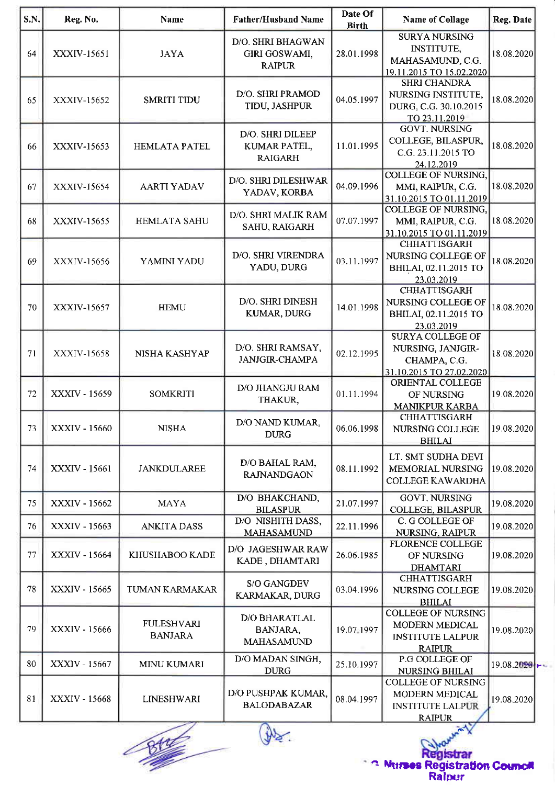| S.N. | Reg. No.                                        | Name                                | <b>Father/Husband Name</b>                                 | Date Of<br><b>Birth</b> | <b>Name of Collage</b>                                                                                          | Reg. Date      |  |  |
|------|-------------------------------------------------|-------------------------------------|------------------------------------------------------------|-------------------------|-----------------------------------------------------------------------------------------------------------------|----------------|--|--|
| 64   | XXXIV-15651                                     | <b>JAYA</b>                         | D/O. SHRI BHAGWAN<br><b>GIRI GOSWAMI,</b><br><b>RAIPUR</b> | 28.01.1998              | <b>SURYA NURSING</b><br><b>INSTITUTE,</b><br>MAHASAMUND, C.G.                                                   | 18.08.2020     |  |  |
| 65   | XXXIV-15652                                     | <b>SMRITI TIDU</b>                  | D/O. SHRI PRAMOD<br>TIDU, JASHPUR                          | 04.05.1997              | 19.11.2015 TO 15.02.2020<br><b>SHRI CHANDRA</b><br>NURSING INSTITUTE,<br>DURG, C.G. 30.10.2015<br>TO 23.11.2019 | 18.08.2020     |  |  |
| 66   | XXXIV-15653                                     | <b>HEMLATA PATEL</b>                | D/O. SHRI DILEEP<br>KUMAR PATEL,<br><b>RAIGARH</b>         | 11.01.1995              | <b>GOVT. NURSING</b><br>COLLEGE, BILASPUR,<br>C.G. 23.11.2015 TO<br>24.12.2019                                  | 18.08.2020     |  |  |
| 67   | XXXIV-15654                                     | <b>AARTI YADAV</b>                  | D/O. SHRI DILESHWAR<br>YADAV, KORBA                        | 04.09.1996              | <b>COLLEGE OF NURSING,</b><br>MMI, RAIPUR, C.G.<br>31.10.2015 TO 01.11.2019                                     | 18.08.2020     |  |  |
| 68   | XXXIV-15655                                     | <b>HEMLATA SAHU</b>                 | D/O. SHRI MALIK RAM<br>SAHU, RAIGARH                       | 07.07.1997              | COLLEGE OF NURSING,<br>MMI, RAIPUR, C.G.<br>31.10.2015 TO 01.11.2019                                            | 18.08.2020     |  |  |
| 69   | XXXIV-15656                                     | YAMINI YADU                         | D/O. SHRI VIRENDRA<br>YADU, DURG                           | 03.11.1997              | <b>CHHATTISGARH</b><br>NURSING COLLEGE OF<br>BHILAI, 02.11.2015 TO<br>23.03.2019                                | 18.08.2020     |  |  |
| 70   | XXXIV-15657                                     | <b>HEMU</b>                         | D/O. SHRI DINESH<br>KUMAR, DURG                            | 14.01.1998              | <b>CHHATTISGARH</b><br>NURSING COLLEGE OF<br>BHILAI, 02.11.2015 TO<br>23.03.2019                                | 18.08.2020     |  |  |
| 71   | XXXIV-15658                                     | NISHA KASHYAP                       | D/O. SHRI RAMSAY,<br><b>JANJGIR-CHAMPA</b>                 | 02.12.1995              | <b>SURYA COLLEGE OF</b><br>NURSING, JANJGIR-<br>CHAMPA, C.G.<br>31.10.2015 TO 27.02.2020                        | 18.08.2020     |  |  |
| 72   | XXXIV - 15659                                   | <b>SOMKRITI</b>                     | D/O JHANGJU RAM<br>THAKUR,                                 | 01.11.1994              | ORIENTAL COLLEGE<br>OF NURSING<br><b>MANIKPUR KARBA</b>                                                         | 19.08.2020     |  |  |
| 73   | XXXIV - 15660                                   | <b>NISHA</b>                        | D/O NAND KUMAR,<br><b>DURG</b>                             | 06.06.1998              | <b>CHHATTISGARH</b><br>NURSING COLLEGE<br><b>BHILAI</b>                                                         | 19.08.2020     |  |  |
| 74   | XXXIV - 15661                                   | <b>JANKDULAREE</b>                  | D/O BAHAL RAM,<br><b>RAJNANDGAON</b>                       | 08.11.1992              | LT. SMT SUDHA DEVI<br><b>MEMORIAL NURSING</b><br><b>COLLEGE KAWARDHA</b>                                        | 19.08.2020     |  |  |
| 75   | XXXIV - 15662                                   | <b>MAYA</b>                         | D/O BHAKCHAND,<br><b>BILASPUR</b>                          | 21.07.1997              | <b>GOVT. NURSING</b><br>COLLEGE, BILASPUR                                                                       | 19.08.2020     |  |  |
| 76   | XXXIV - 15663                                   | <b>ANKITA DASS</b>                  | D/O NISHITH DASS,<br><b>MAHASAMUND</b>                     | 22.11.1996              | C. G COLLEGE OF<br>NURSING, RAIPUR                                                                              | 19.08.2020     |  |  |
| 77   | XXXIV - 15664                                   | KHUSHABOO KADE                      | D/O JAGESHWAR RAW<br>KADE, DHAMTARI                        | 26.06.1985              | <b>FLORENCE COLLEGE</b><br>OF NURSING<br><b>DHAMTARI</b>                                                        | 19.08.2020     |  |  |
| 78   | XXXIV - 15665                                   | TUMAN KARMAKAR                      | <b>S/O GANGDEV</b><br>KARMAKAR, DURG                       | 03.04.1996              | <b>CHHATTISGARH</b><br>NURSING COLLEGE<br><b>BHILAI</b>                                                         | 19.08.2020     |  |  |
| 79   | XXXIV - 15666                                   | <b>FULESHVARI</b><br><b>BANJARA</b> | <b>D/O BHARATLAL</b><br>BANJARA,<br><b>MAHASAMUND</b>      | 19 07 1997              | <b>COLLEGE OF NURSING</b><br>MODERN MEDICAL<br><b>INSTITUTE LALPUR</b><br><b>RAIPUR</b>                         | 19.08.2020     |  |  |
| 80   | XXXIV - 15667                                   | <b>MINU KUMARI</b>                  | D/O MADAN SINGH,<br><b>DURG</b>                            | 25.10.1997              | P.G COLLEGE OF<br>NURSING BHILAI                                                                                | $19.08.2020 +$ |  |  |
| 81   | XXXIV - 15668                                   | <b>LINESHWARI</b>                   | D/O PUSHPAK KUMAR,<br><b>BALODABAZAR</b>                   | 08.04.1997              | <b>COLLEGE OF NURSING</b><br>MODERN MEDICAL<br><b>INSTITUTE LALPUR</b><br><b>RAIPUR</b>                         | 19.08.2020     |  |  |
|      | tegistrar<br><b>Nurses Registration Council</b> |                                     |                                                            |                         |                                                                                                                 |                |  |  |

Murses Registration Councli Ralpur